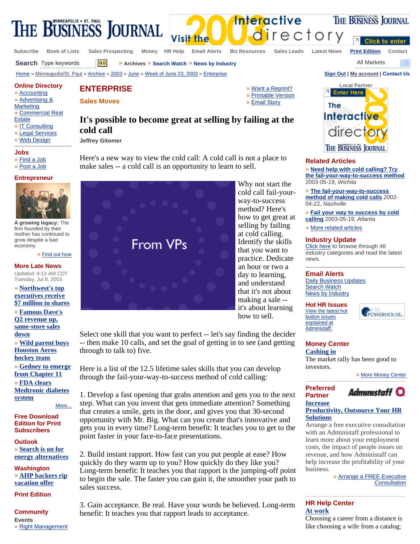

**Subscribe Book of Lists Sales Prospecting Money HR Help Email Alerts Biz Resources Sales Leads Latest News Print Edition Contact**

directory

**Search** Type keywords  $\boxed{60}$  » Archives » Search Watch » News by Industry All Markets

**Click to enter** 

THE BUSINESS JOURNAL

Home » Minneapolis/St. Paul » Archive » 2003 » June » Week of June 23, 2003 » Enterprise **Sign Out | My account | Contact Us**



## **Related Articles**

» **Need help with cold calling? Try the fail-your-way-to-success method** 2003-05-19, *Wichita*

» **The fail-your-way-to-success method of making cold calls** 2002- 04-22, *Nashville*

» **Fail your way to success by cold calling** 2003-05-19, *Atlanta*

» More related articles

# **Industry Update**

Click here to browse through 46 industry categories and read the latest news.

## **Email Alerts**

Daily Business Updates **Search Watch** News by Industry

**Hot HR Issues**  View the latest hot button issues

explained at Administaff.

**Preferred Partner Increase** 



# **Money Center**

**Cashing in** The market rally has been good to investors.

» More Money Center



# **Productivity, Outsource Your HR Solutions**

Arrange a free executive consultation with an Administaff professional to learn more about your employment costs, the impact of people issues on revenue, and how Administaff can help increase the profitability of your business.

> » Arrange a FREE Executive **Consultation**

# **HR Help Center At work**

Choosing a career from a distance is like choosing a wife from a catalog;

**Online Directory ENTERPRISE** 

**Sales Moves** 

**cold call Jeffrey Gitomer** 

## **Marketing** » Commercial Real **Estate** » IT Consulting

» Legal Services

» Accounting » Advertising &

» Web Design

# **Jobs**

- » Find a Job
- » Post a Job

# **Entrepreneur**



**A growing legacy:** The firm founded by their mother has continued to grow despite a bad economy.

#### » Find out how

# **More Late News**

Updated: 9:13 AM CDT Tuesday, Jul 8, 2003

» **Northwest's top executives receive \$7 million in shares**

» **Famous Dave's Q2 revenue up, same-store sales down** » **Wild parent buys Houston Aeros hockey team** » **Gedney to emerge from Chapter 11** » **FDA clears Medtronic diabetes** 

**system** More...

# **Free Download Edition for Print Subscribers**

**Outlook** » **Search is on for energy alternatives**

**Washington** » **AHP backers rip vacation offer**

**Print Edition**

**Community Events**  » Right Management

» Want a Reprint? » Printable Version » Email Story

**Interactive** 



Why not start the cold call fail-yourway-to-success method? Here's how to get great at selling by failing at cold calling. Identify the skills that you want to practice. Dedicate an hour or two a day to learning, and understand that it's not about making a sale - it's about learning how to sell.

Select one skill that you want to perfect -- let's say finding the decider -- then make 10 calls, and set the goal of getting in to see (and getting through to talk to) five.

Here is a list of the 12.5 lifetime sales skills that you can develop through the fail-your-way-to-success method of cold calling:

1. Develop a fast opening that grabs attention and gets you to the next step. What can you invent that gets immediate attention? Something that creates a smile, gets in the door, and gives you that 30-second opportunity with Mr. Big. What can you create that's innovative and gets you in every time? Long-term benefit: It teaches you to get to the point faster in your face-to-face presentations.

2. Build instant rapport. How fast can you put people at ease? How quickly do they warm up to you? How quickly do they like you? Long-term benefit: It teaches you that rapport is the jumping-off point to begin the sale. The faster you can gain it, the smoother your path to sales success.

3. Gain acceptance. Be real. Have your words be believed. Long-term benefit: It teaches you that rapport leads to acceptance.

**It's possible to become great at selling by failing at the**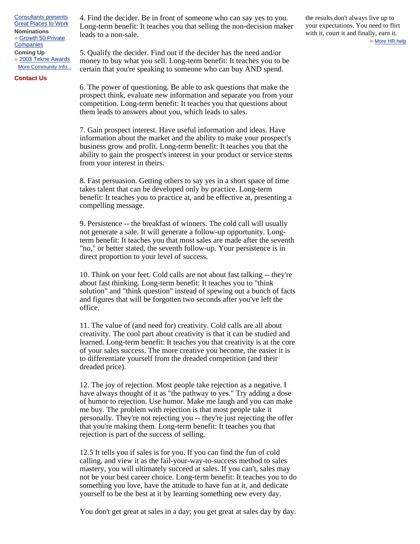Consultants presents Great Places to Work **Nominations**  » Growth 50 Private **Companies Coming Up** 

» 2003 Tekne Awards More Community Info...

# **Contact Us**

4. Find the decider. Be in front of someone who can say yes to you. Long-term benefit: It teaches you that selling the non-decision maker leads to a non-sale.

5. Qualify the decider. Find out if the decider has the need and/or money to buy what you sell. Long-term benefit: It teaches you to be certain that you're speaking to someone who can buy AND spend.

6. The power of questioning. Be able to ask questions that make the prospect think, evaluate new information and separate you from your competition. Long-term benefit: It teaches you that questions about them leads to answers about you, which leads to sales.

7. Gain prospect interest. Have useful information and ideas. Have information about the market and the ability to make your prospect's business grow and profit. Long-term benefit: It teaches you that the ability to gain the prospect's interest in your product or service stems from your interest in theirs.

8. Fast persuasion. Getting others to say yes in a short space of time takes talent that can be developed only by practice. Long-term benefit: It teaches you to practice at, and be effective at, presenting a compelling message.

9. Persistence -- the breakfast of winners. The cold call will usually not generate a sale. It will generate a follow-up opportunity. Longterm benefit: It teaches you that most sales are made after the seventh "no," or better stated, the seventh follow-up. Your persistence is in direct proportion to your level of success.

10. Think on your feet. Cold calls are not about fast talking -- they're about fast thinking. Long-term benefit: It teaches you to "think solution" and "think question" instead of spewing out a bunch of facts and figures that will be forgotten two seconds after you've left the office.

11. The value of (and need for) creativity. Cold calls are all about creativity. The cool part about creativity is that it can be studied and learned. Long-term benefit: It teaches you that creativity is at the core of your sales success. The more creative you become, the easier it is to differentiate yourself from the dreaded competition (and their dreaded price).

12. The joy of rejection. Most people take rejection as a negative. I have always thought of it as "the pathway to yes." Try adding a dose of humor to rejection. Use humor. Make me laugh and you can make me buy. The problem with rejection is that most people take it personally. They're not rejecting you -- they're just rejecting the offer that you're making them. Long-term benefit: It teaches you that rejection is part of the success of selling.

12.5 It tells you if sales is for you. If you can find the fun of cold calling, and view it as the fail-your-way-to-success method to sales mastery, you will ultimately succeed at sales. If you can't, sales may not be your best career choice. Long-term benefit: It teaches you to do something you love, have the attitude to have fun at it, and dedicate yourself to be the best at it by learning something new every day.

You don't get great at sales in a day; you get great at sales day by day.

the results don't always live up to your expectations. You need to flirt with it, court it and finally, earn it. » More HR help